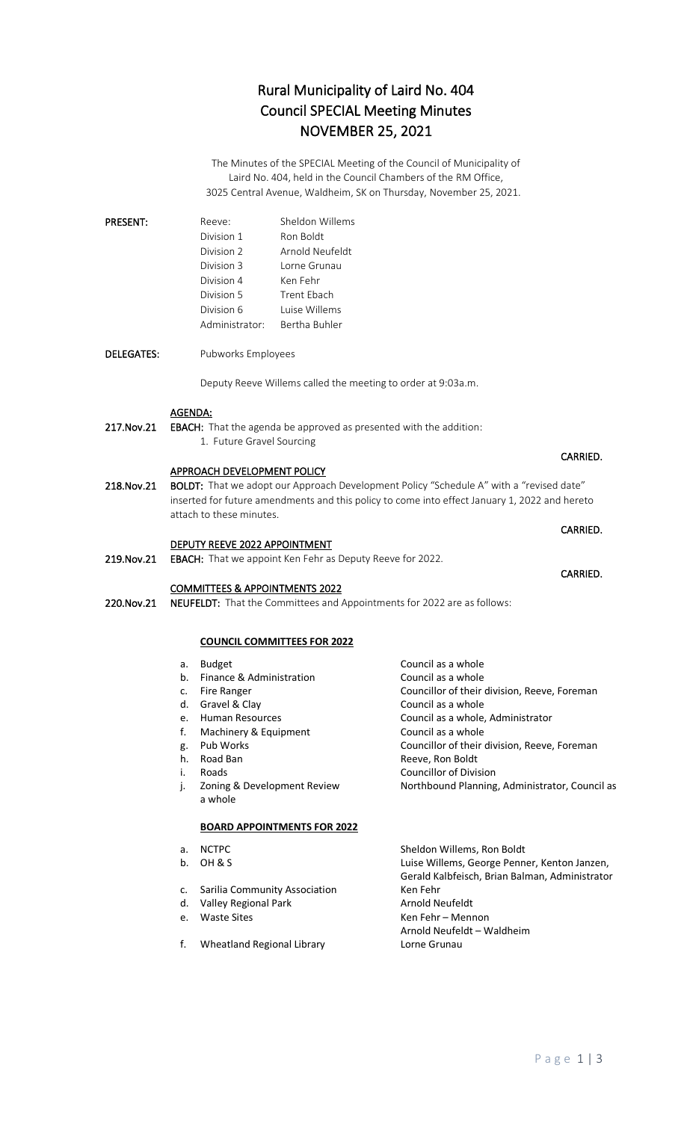## Rural Municipality of Laird No. 404 Council SPECIAL Meeting Minutes NOVEMBER 25, 2021

The Minutes of the SPECIAL Meeting of the Council of Municipality of Laird No. 404, held in the Council Chambers of the RM Office, 3025 Central Avenue, Waldheim, SK on Thursday, November 25, 2021.

| <b>PRESENT:</b> | Reeve:         | Sheldon Willems |
|-----------------|----------------|-----------------|
|                 | Division 1     | Ron Boldt       |
|                 | Division 2     | Arnold Neufeldt |
|                 | Division 3     | Lorne Grunau    |
|                 | Division 4     | Ken Fehr        |
|                 | Division 5     | Trent Fhach     |
|                 | Division 6     | Luise Willems   |
|                 | Administrator: | Bertha Buhler   |

DELEGATES: Pubworks Employees

Deputy Reeve Willems called the meeting to order at 9:03a.m.

#### AGENDA:

217. Nov. 21 EBACH: That the agenda be approved as presented with the addition: 1. Future Gravel Sourcing

#### APPROACH DEVELOPMENT POLICY

218.Nov.21 BOLDT: That we adopt our Approach Development Policy "Schedule A" with a "revised date" inserted for future amendments and this policy to come into effect January 1, 2022 and hereto attach to these minutes.

**CARRIED.** The contract of the contract of the contract of the contract of the contract of the contract of the contract of the contract of the contract of the contract of the contract of the contract of the contract of the

**CARRIED.** The contract of the contract of the contract of the contract of the contract of the contract of the contract of the contract of the contract of the contract of the contract of the contract of the contract of the

#### DEPUTY REEVE 2022 APPOINTMENT

219. Nov. 21 EBACH: That we appoint Ken Fehr as Deputy Reeve for 2022.

#### COMMITTEES & APPOINTMENTS 2022

220. Nov. 21 NEUFELDT: That the Committees and Appointments for 2022 are as follows:

#### **COUNCIL COMMITTEES FOR 2022**

- a. Budget Council as a whole
- b. Finance & Administration Council as a whole
- c. Fire Ranger Councillor of their division, Reeve, Foreman
- d. Gravel & Clay Council as a whole
- e. Human Resources Council as a whole, Administrator
- f. Machinery & Equipment Council as a whole<br>g. Pub Works Councillor of their
- g. Pub Works **Councillor of their division, Reeve, Foreman**<br>
Reeve, Ron Boldt **Reeve, Ron Boldt**
- i. Roads **Councillor of Division**
- 
- j. Zoning & Development Review Northbound Planning, Administrator, Council as a whole

### **BOARD APPOINTMENTS FOR 2022**

- 
- 
- c. Sarilia Community Association Ken Fehr
- 
- 
- f. Wheatland Regional Library Lorne Grunau

a. NCTPC Sheldon Willems, Ron Boldt b. OH & S Luise Willems, George Penner, Kenton Janzen, Gerald Kalbfeisch, Brian Balman, Administrator d. Valley Regional Park Arnold Neufeldt e. Waste Sites **Ken Fehr** – Mennon Arnold Neufeldt – Waldheim

Reeve, Ron Boldt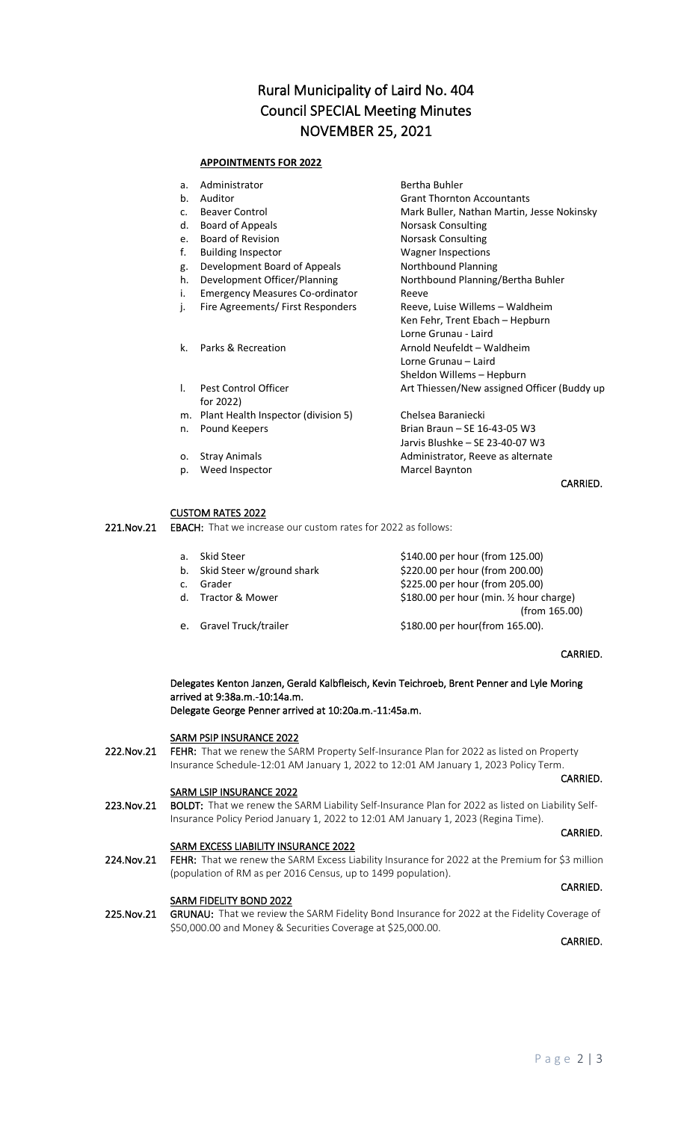## Rural Municipality of Laird No. 404 Council SPECIAL Meeting Minutes NOVEMBER 25, 2021

#### **APPOINTMENTS FOR 2022**

| a. | Administrator                          | Bertha Buhler                               |
|----|----------------------------------------|---------------------------------------------|
| b. | Auditor                                | <b>Grant Thornton Accountants</b>           |
| C. | <b>Beaver Control</b>                  | Mark Buller, Nathan Martin, Jesse Nokinsky  |
| d. | Board of Appeals                       | Norsask Consulting                          |
| e. | <b>Board of Revision</b>               | Norsask Consulting                          |
| f. | <b>Building Inspector</b>              | <b>Wagner Inspections</b>                   |
| g. | Development Board of Appeals           | Northbound Planning                         |
| h. | Development Officer/Planning           | Northbound Planning/Bertha Buhler           |
| i. | <b>Emergency Measures Co-ordinator</b> | Reeve                                       |
| j. | Fire Agreements/ First Responders      | Reeve, Luise Willems – Waldheim             |
|    |                                        | Ken Fehr, Trent Ebach – Hepburn             |
|    |                                        | Torne Grunau - Laird                        |
| k. | Parks & Recreation                     | Arnold Neufeldt – Waldheim                  |
|    |                                        | Lorne Grunau - Laird                        |
|    |                                        | Sheldon Willems – Hepburn                   |
| I. | Pest Control Officer                   | Art Thiessen/New assigned Officer (Buddy up |
|    | for 2022)                              |                                             |
| m. | Plant Health Inspector (division 5)    | Chelsea Baraniecki                          |
| n. | Pound Keepers                          | Brian Braun - SE 16-43-05 W3                |
|    |                                        | Jarvis Blushke - SE 23-40-07 W3             |
| ο. | <b>Stray Animals</b>                   | Administrator, Reeve as alternate           |
| p. | Weed Inspector                         | Marcel Baynton                              |
|    |                                        |                                             |

CARRIED.

#### CUSTOM RATES 2022

221. Nov.21 EBACH: That we increase our custom rates for 2022 as follows:

| Skid Steer | \$140.00 per hour (from 125.00)                                         |
|------------|-------------------------------------------------------------------------|
|            | \$220.00 per hour (from 200.00)                                         |
| Grader     | \$225.00 per hour (from 205.00)                                         |
|            | \$180.00 per hour (min. 1/2 hour charge)                                |
|            | (from 165.00)                                                           |
|            | \$180.00 per hour(from 165.00).                                         |
| d.         | b. Skid Steer w/ground shark<br>Tractor & Mower<br>Gravel Truck/trailer |

#### CARRIED.

 Delegates Kenton Janzen, Gerald Kalbfleisch, Kevin Teichroeb, Brent Penner and Lyle Moring arrived at 9:38a.m.-10:14a.m. Delegate George Penner arrived at 10:20a.m.-11:45a.m.

#### SARM PSIP INSURANCE 2022

222.Nov.21 FEHR: That we renew the SARM Property Self-Insurance Plan for 2022 as listed on Property Insurance Schedule-12:01 AM January 1, 2022 to 12:01 AM January 1, 2023 Policy Term.

#### SARM LSIP INSURANCE 2022

223.Nov.21 BOLDT: That we renew the SARM Liability Self-Insurance Plan for 2022 as listed on Liability Self-Insurance Policy Period January 1, 2022 to 12:01 AM January 1, 2023 (Regina Time). **CARRIED. CARRIED.** 

**CARRIED.** The contract of the contract of the contract of the contract of the contract of the contract of the contract of the contract of the contract of the contract of the contract of the contract of the contract of the

SARM EXCESS LIABILITY INSURANCE 2022<br>224. Nov.21 FEHR: That we renew the SARM Excess Lia FEHR: That we renew the SARM Excess Liability Insurance for 2022 at the Premium for \$3 million (population of RM as per 2016 Census, up to 1499 population). **CARRIED.** The contract of the contract of the contract of the contract of the contract of the contract of the contract of the contract of the contract of the contract of the contract of the contract of the contract of the

### SARM FIDELITY BOND 2022

225.Nov.21 GRUNAU: That we review the SARM Fidelity Bond Insurance for 2022 at the Fidelity Coverage of \$50,000.00 and Money & Securities Coverage at \$25,000.00.

CARRIED.